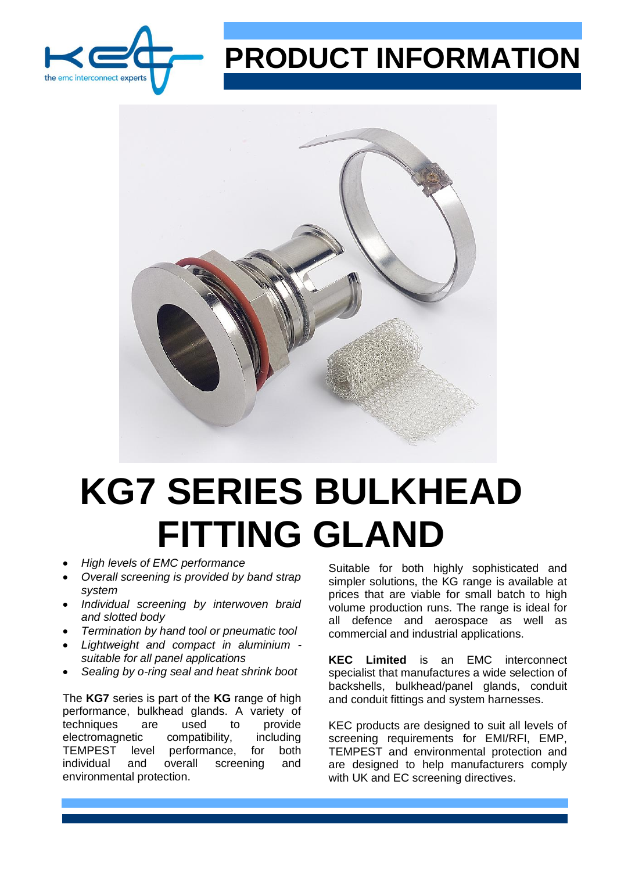

## **PRODUCT INFORMATION**



## **KG7 SERIES BULKHEAD FITTING GLAND**

- *High levels of EMC performance*
- *Overall screening is provided by band strap system*
- *Individual screening by interwoven braid and slotted body*
- *Termination by hand tool or pneumatic tool*
- *Lightweight and compact in aluminium suitable for all panel applications*
- *Sealing by o-ring seal and heat shrink boot*

The **KG7** series is part of the **KG** range of high performance, bulkhead glands. A variety of techniques are used to provide electromagnetic compatibility, including TEMPEST level performance, for both individual and overall screening and environmental protection.

Suitable for both highly sophisticated and simpler solutions, the KG range is available at prices that are viable for small batch to high volume production runs. The range is ideal for all defence and aerospace as well as commercial and industrial applications.

**KEC Limited** is an EMC interconnect specialist that manufactures a wide selection of backshells, bulkhead/panel glands, conduit and conduit fittings and system harnesses.

KEC products are designed to suit all levels of screening requirements for EMI/RFI, EMP, TEMPEST and environmental protection and are designed to help manufacturers comply with UK and EC screening directives.